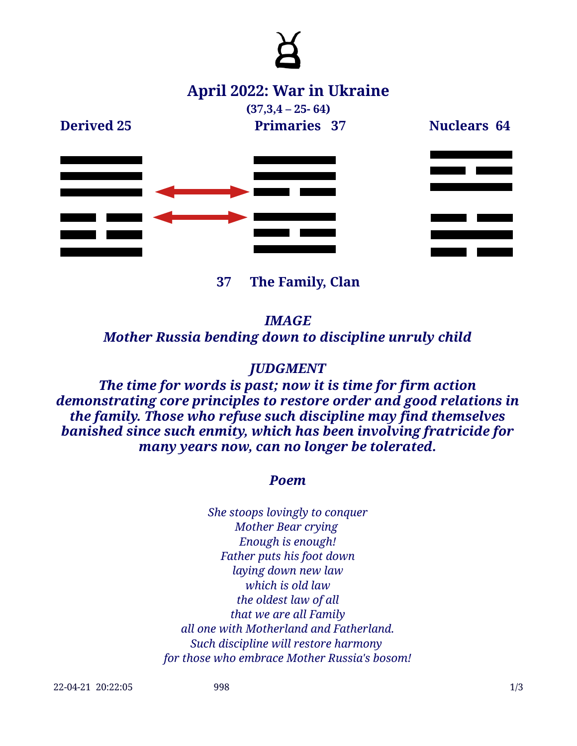

**37 The Family, Clan**

*IMAGE Mother Russia bending down to discipline unruly child*

### *JUDGMENT*

*The time for words is past; now it is time for firm action demonstrating core principles to restore order and good relations in the family. Those who refuse such discipline may find themselves banished since such enmity, which has been involving fratricide for many years now, can no longer be tolerated.*

#### *Poem*

*She stoops lovingly to conquer Mother Bear crying Enough is enough! Father puts his foot down laying down new law which is old law the oldest law of all that we are all Family all one with Motherland and Fatherland. Such discipline will restore harmony for those who embrace Mother Russia's bosom!*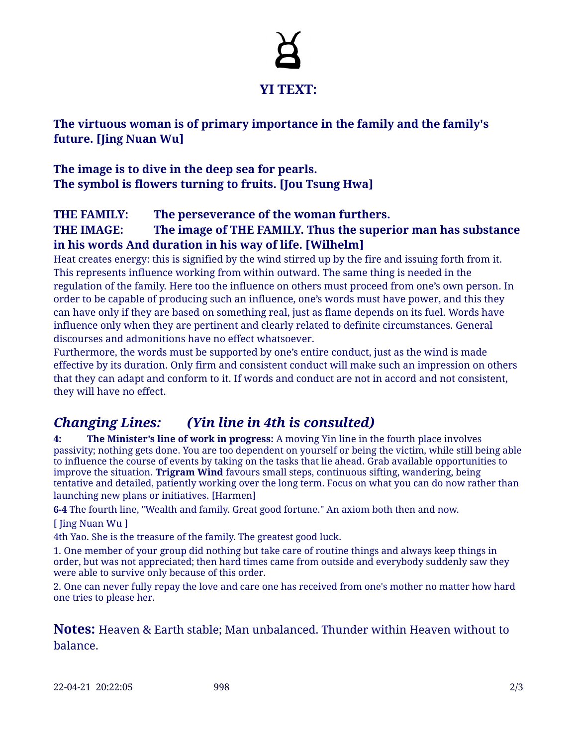# **YI TEXT:**

**The virtuous woman is of primary importance in the family and the family's future. [Jing Nuan Wu]**

**The image is to dive in the deep sea for pearls. The symbol is flowers turning to fruits. [Jou Tsung Hwa]**

#### **THE FAMILY: The perseverance of the woman furthers. THE IMAGE: The image of THE FAMILY. Thus the superior man has substance in his words And duration in his way of life. [Wilhelm]**

Heat creates energy: this is signified by the wind stirred up by the fire and issuing forth from it. This represents influence working from within outward. The same thing is needed in the regulation of the family. Here too the influence on others must proceed from one's own person. In order to be capable of producing such an influence, one's words must have power, and this they can have only if they are based on something real, just as flame depends on its fuel. Words have influence only when they are pertinent and clearly related to definite circumstances. General discourses and admonitions have no effect whatsoever.

Furthermore, the words must be supported by one's entire conduct, just as the wind is made effective by its duration. Only firm and consistent conduct will make such an impression on others that they can adapt and conform to it. If words and conduct are not in accord and not consistent, they will have no effect.

## *Changing Lines: (Yin line in 4th is consulted)*

**4: The Minister's line of work in progress:** A moving Yin line in the fourth place involves passivity; nothing gets done. You are too dependent on yourself or being the victim, while still being able to influence the course of events by taking on the tasks that lie ahead. Grab available opportunities to improve the situation. **Trigram Wind** favours small steps, continuous sifting, wandering, being tentative and detailed, patiently working over the long term. Focus on what you can do now rather than launching new plans or initiatives. [Harmen]

**6-4** The fourth line, "Wealth and family. Great good fortune." An axiom both then and now.

[ Jing Nuan Wu ]

4th Yao. She is the treasure of the family. The greatest good luck.

1. One member of your group did nothing but take care of routine things and always keep things in order, but was not appreciated; then hard times came from outside and everybody suddenly saw they were able to survive only because of this order.

2. One can never fully repay the love and care one has received from one's mother no matter how hard one tries to please her.

**Notes:** Heaven & Earth stable; Man unbalanced. Thunder within Heaven without to balance.